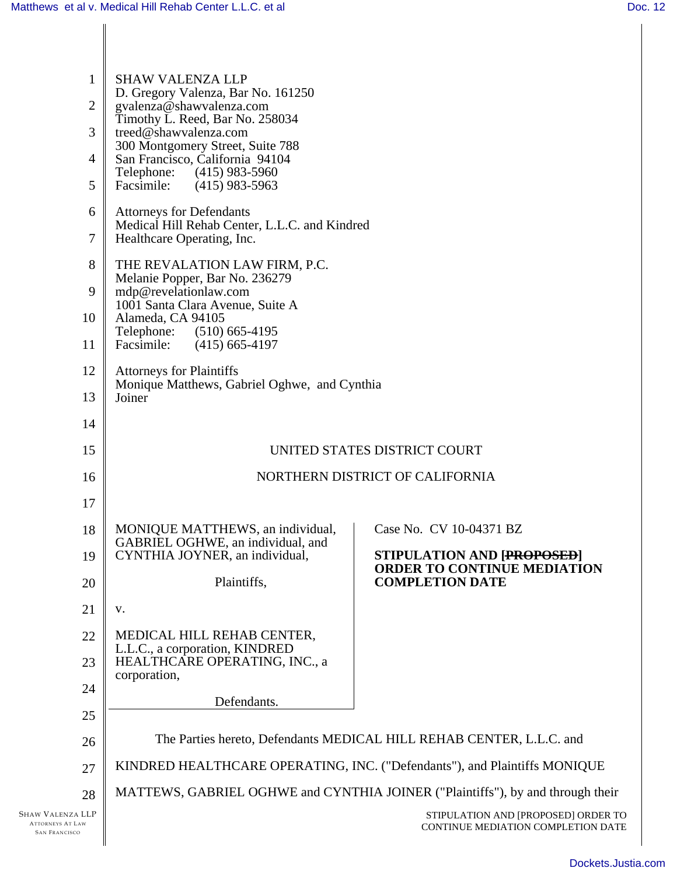| $\mathbf{1}$<br>$\overline{2}$<br>3<br>$\overline{4}$<br>5          | <b>SHAW VALENZA LLP</b><br>D. Gregory Valenza, Bar No. 161250<br>gvalenza@shawvalenza.com<br>Timothy L. Reed, Bar No. 258034<br>treed@shawvalenza.com<br>300 Montgomery Street, Suite 788<br>San Francisco, California 94104<br>Telephone:<br>$(415)$ 983-5960<br>Facsimile:<br>$(415)$ 983-5963 |                                                                           |
|---------------------------------------------------------------------|--------------------------------------------------------------------------------------------------------------------------------------------------------------------------------------------------------------------------------------------------------------------------------------------------|---------------------------------------------------------------------------|
| 6<br>7                                                              | <b>Attorneys for Defendants</b><br>Medical Hill Rehab Center, L.L.C. and Kindred<br>Healthcare Operating, Inc.                                                                                                                                                                                   |                                                                           |
| 8<br>9<br>10<br>11                                                  | THE REVALATION LAW FIRM, P.C.<br>Melanie Popper, Bar No. 236279<br>mdp@revelationlaw.com<br>1001 Santa Clara Avenue, Suite A<br>Alameda, CA 94105<br>$(510)$ 665-4195<br>Telephone:<br>Facsimile:<br>$(415)$ 665-4197                                                                            |                                                                           |
| 12<br>13                                                            | <b>Attorneys for Plaintiffs</b><br>Monique Matthews, Gabriel Oghwe, and Cynthia<br>Joiner                                                                                                                                                                                                        |                                                                           |
| 14                                                                  |                                                                                                                                                                                                                                                                                                  |                                                                           |
| 15                                                                  | UNITED STATES DISTRICT COURT                                                                                                                                                                                                                                                                     |                                                                           |
| 16                                                                  | NORTHERN DISTRICT OF CALIFORNIA                                                                                                                                                                                                                                                                  |                                                                           |
| 17                                                                  |                                                                                                                                                                                                                                                                                                  |                                                                           |
| 18                                                                  | MONIQUE MATTHEWS, an individual,<br>GABRIEL OGHWE, an individual, and<br>CYNTHIA JOYNER, an individual,                                                                                                                                                                                          | Case No. CV 10-04371 BZ                                                   |
| 19                                                                  |                                                                                                                                                                                                                                                                                                  | <b>STIPULATION AND [PROPOSED]</b><br><b>ORDER TO CONTINUE MEDIATION</b>   |
| 20                                                                  | Plaintiffs,                                                                                                                                                                                                                                                                                      | <b>COMPLETION DATE</b>                                                    |
| 21                                                                  | V.                                                                                                                                                                                                                                                                                               |                                                                           |
| 22                                                                  | MEDICAL HILL REHAB CENTER,<br>L.L.C., a corporation, KINDRED                                                                                                                                                                                                                                     |                                                                           |
| 23                                                                  | HEALTHCARE OPERATING, INC., a<br>corporation,                                                                                                                                                                                                                                                    |                                                                           |
| 24                                                                  | Defendants.                                                                                                                                                                                                                                                                                      |                                                                           |
| 25                                                                  |                                                                                                                                                                                                                                                                                                  |                                                                           |
| 26                                                                  | The Parties hereto, Defendants MEDICAL HILL REHAB CENTER, L.L.C. and                                                                                                                                                                                                                             |                                                                           |
| 27                                                                  | KINDRED HEALTHCARE OPERATING, INC. ("Defendants"), and Plaintiffs MONIQUE                                                                                                                                                                                                                        |                                                                           |
| 28                                                                  | MATTEWS, GABRIEL OGHWE and CYNTHIA JOINER ("Plaintiffs"), by and through their                                                                                                                                                                                                                   |                                                                           |
| Shaw Valenza LLP<br><b>ATTORNEYS AT LAW</b><br><b>SAN FRANCISCO</b> |                                                                                                                                                                                                                                                                                                  | STIPULATION AND [PROPOSED] ORDER TO<br>CONTINUE MEDIATION COMPLETION DATE |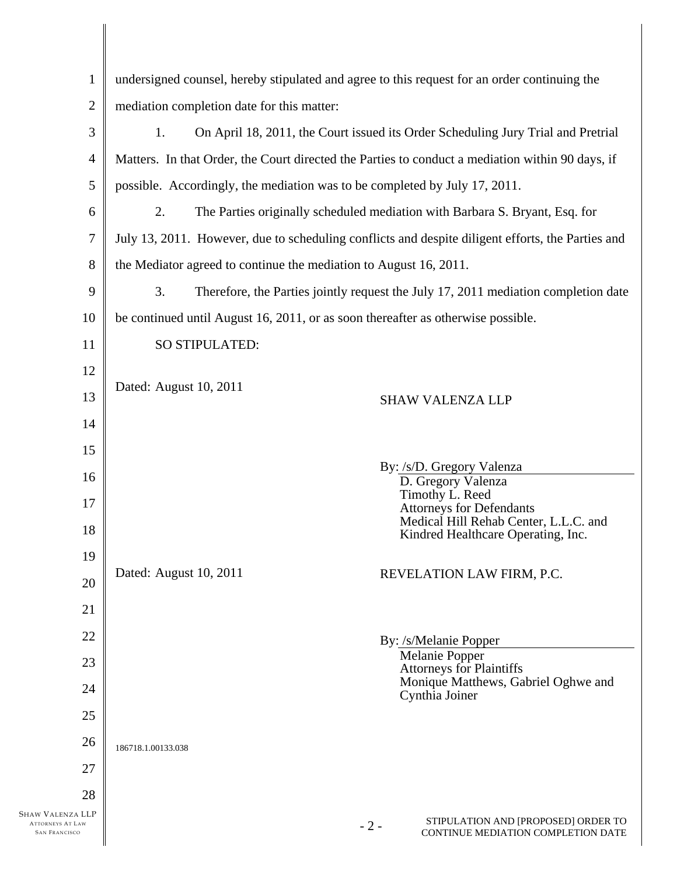| $\mathbf{1}$                                    | undersigned counsel, hereby stipulated and agree to this request for an order continuing the      |                                                                                    |  |
|-------------------------------------------------|---------------------------------------------------------------------------------------------------|------------------------------------------------------------------------------------|--|
| $\overline{2}$                                  | mediation completion date for this matter:                                                        |                                                                                    |  |
| 3                                               | 1.<br>On April 18, 2011, the Court issued its Order Scheduling Jury Trial and Pretrial            |                                                                                    |  |
| $\overline{4}$                                  | Matters. In that Order, the Court directed the Parties to conduct a mediation within 90 days, if  |                                                                                    |  |
| 5                                               | possible. Accordingly, the mediation was to be completed by July 17, 2011.                        |                                                                                    |  |
| 6                                               | 2.<br>The Parties originally scheduled mediation with Barbara S. Bryant, Esq. for                 |                                                                                    |  |
| 7                                               | July 13, 2011. However, due to scheduling conflicts and despite diligent efforts, the Parties and |                                                                                    |  |
| 8                                               | the Mediator agreed to continue the mediation to August 16, 2011.                                 |                                                                                    |  |
| 9                                               | 3.                                                                                                | Therefore, the Parties jointly request the July 17, 2011 mediation completion date |  |
| 10                                              | be continued until August 16, 2011, or as soon thereafter as otherwise possible.                  |                                                                                    |  |
| 11                                              | SO STIPULATED:                                                                                    |                                                                                    |  |
| 12                                              |                                                                                                   |                                                                                    |  |
| 13                                              | Dated: August 10, 2011                                                                            | <b>SHAW VALENZA LLP</b>                                                            |  |
| 14                                              |                                                                                                   |                                                                                    |  |
| 15                                              |                                                                                                   | By: /s/D. Gregory Valenza                                                          |  |
| 16                                              |                                                                                                   | D. Gregory Valenza                                                                 |  |
| 17                                              |                                                                                                   | Timothy L. Reed<br><b>Attorneys for Defendants</b>                                 |  |
| 18                                              |                                                                                                   | Medical Hill Rehab Center, L.L.C. and<br>Kindred Healthcare Operating, Inc.        |  |
| 19                                              | Dated: August 10, 2011                                                                            |                                                                                    |  |
| 20                                              |                                                                                                   | REVELATION LAW FIRM, P.C.                                                          |  |
| 21                                              |                                                                                                   |                                                                                    |  |
| 22                                              |                                                                                                   | By: /s/Melanie Popper                                                              |  |
| 23                                              |                                                                                                   | Melanie Popper<br><b>Attorneys for Plaintiffs</b>                                  |  |
| 24                                              |                                                                                                   | Monique Matthews, Gabriel Oghwe and<br>Cynthia Joiner                              |  |
| 25                                              |                                                                                                   |                                                                                    |  |
| 26                                              | 186718.1.00133.038                                                                                |                                                                                    |  |
| 27                                              |                                                                                                   |                                                                                    |  |
| 28<br>Shaw Valenza LLP                          |                                                                                                   |                                                                                    |  |
| <b>ATTORNEYS AT LAW</b><br><b>SAN FRANCISCO</b> | $-2-$                                                                                             | STIPULATION AND [PROPOSED] ORDER TO<br>CONTINUE MEDIATION COMPLETION DATE          |  |
|                                                 |                                                                                                   |                                                                                    |  |